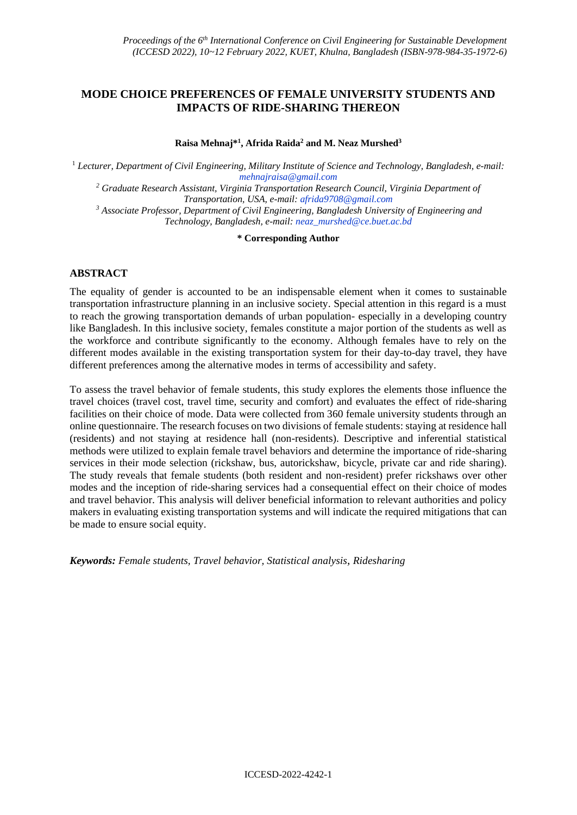# **MODE CHOICE PREFERENCES OF FEMALE UNIVERSITY STUDENTS AND IMPACTS OF RIDE-SHARING THEREON**

**Raisa Mehnaj\* 1 , Afrida Raida<sup>2</sup> and M. Neaz Murshed<sup>3</sup>**

<sup>1</sup> *Lecturer, Department of Civil Engineering, Military Institute of Science and Technology, Bangladesh, e-mail: mehnajraisa@gmail.com*

*<sup>2</sup> Graduate Research Assistant, Virginia Transportation Research Council, Virginia Department of Transportation, USA, e-mail: afrida9708@gmail.com*

*<sup>3</sup> Associate Professor, Department of Civil Engineering, Bangladesh University of Engineering and Technology, Bangladesh, e-mail: neaz\_murshed@ce.buet.ac.bd*

**\* Corresponding Author**

# **ABSTRACT**

The equality of gender is accounted to be an indispensable element when it comes to sustainable transportation infrastructure planning in an inclusive society. Special attention in this regard is a must to reach the growing transportation demands of urban population- especially in a developing country like Bangladesh. In this inclusive society, females constitute a major portion of the students as well as the workforce and contribute significantly to the economy. Although females have to rely on the different modes available in the existing transportation system for their day-to-day travel, they have different preferences among the alternative modes in terms of accessibility and safety.

To assess the travel behavior of female students, this study explores the elements those influence the travel choices (travel cost, travel time, security and comfort) and evaluates the effect of ride-sharing facilities on their choice of mode. Data were collected from 360 female university students through an online questionnaire. The research focuses on two divisions of female students: staying at residence hall (residents) and not staying at residence hall (non-residents). Descriptive and inferential statistical methods were utilized to explain female travel behaviors and determine the importance of ride-sharing services in their mode selection (rickshaw, bus, autorickshaw, bicycle, private car and ride sharing). The study reveals that female students (both resident and non-resident) prefer rickshaws over other modes and the inception of ride-sharing services had a consequential effect on their choice of modes and travel behavior. This analysis will deliver beneficial information to relevant authorities and policy makers in evaluating existing transportation systems and will indicate the required mitigations that can be made to ensure social equity.

*Keywords: Female students, Travel behavior, Statistical analysis, Ridesharing*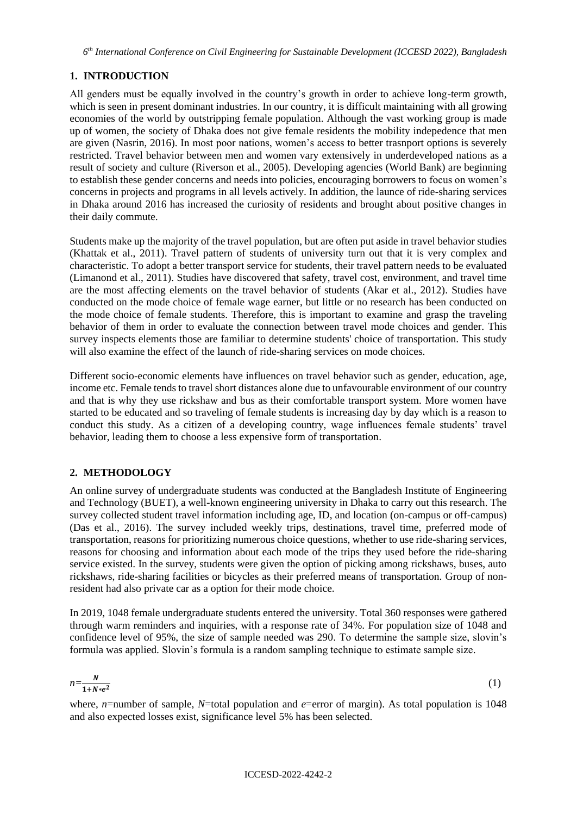*6 th International Conference on Civil Engineering for Sustainable Development (ICCESD 2022), Bangladesh*

# **1. INTRODUCTION**

All genders must be equally involved in the country's growth in order to achieve long-term growth, which is seen in present dominant industries. In our country, it is difficult maintaining with all growing economies of the world by outstripping female population. Although the vast working group is made up of women, the society of Dhaka does not give female residents the mobility indepedence that men are given (Nasrin, 2016). In most poor nations, women's access to better trasnport options is severely restricted. Travel behavior between men and women vary extensively in underdeveloped nations as a result of society and culture (Riverson et al., 2005). Developing agencies (World Bank) are beginning to establish these gender concerns and needs into policies, encouraging borrowers to focus on women's concerns in projects and programs in all levels actively. In addition, the launce of ride-sharing services in Dhaka around 2016 has increased the curiosity of residents and brought about positive changes in their daily commute.

Students make up the majority of the travel population, but are often put aside in travel behavior studies (Khattak et al., 2011). Travel pattern of students of university turn out that it is very complex and characteristic. To adopt a better transport service for students, their travel pattern needs to be evaluated (Limanond et al., 2011). Studies have discovered that safety, travel cost, environment, and travel time are the most affecting elements on the travel behavior of students (Akar et al., 2012). Studies have conducted on the mode choice of female wage earner, but little or no research has been conducted on the mode choice of female students. Therefore, this is important to examine and grasp the traveling behavior of them in order to evaluate the connection between travel mode choices and gender. This survey inspects elements those are familiar to determine students' choice of transportation. This study will also examine the effect of the launch of ride-sharing services on mode choices.

Different socio-economic elements have influences on travel behavior such as gender, education, age, income etc. Female tends to travel short distances alone due to unfavourable environment of our country and that is why they use rickshaw and bus as their comfortable transport system. More women have started to be educated and so traveling of female students is increasing day by day which is a reason to conduct this study. As a citizen of a developing country, wage influences female students' travel behavior, leading them to choose a less expensive form of transportation.

# **2. METHODOLOGY**

An online survey of undergraduate students was conducted at the Bangladesh Institute of Engineering and Technology (BUET), a well-known engineering university in Dhaka to carry out this research. The survey collected student travel information including age, ID, and location (on-campus or off-campus) (Das et al., 2016). The survey included weekly trips, destinations, travel time, preferred mode of transportation, reasons for prioritizing numerous choice questions, whether to use ride-sharing services, reasons for choosing and information about each mode of the trips they used before the ride-sharing service existed. In the survey, students were given the option of picking among rickshaws, buses, auto rickshaws, ride-sharing facilities or bicycles as their preferred means of transportation. Group of nonresident had also private car as a option for their mode choice.

In 2019, 1048 female undergraduate students entered the university. Total 360 responses were gathered through warm reminders and inquiries, with a response rate of 34%. For population size of 1048 and confidence level of 95%, the size of sample needed was 290. To determine the sample size, slovin's formula was applied. Slovin's formula is a random sampling technique to estimate sample size.

$$
n = \frac{N}{1 + N \cdot e^2} \tag{1}
$$

where, *n*=number of sample, *N*=total population and *e*=error of margin). As total population is 1048 and also expected losses exist, significance level 5% has been selected.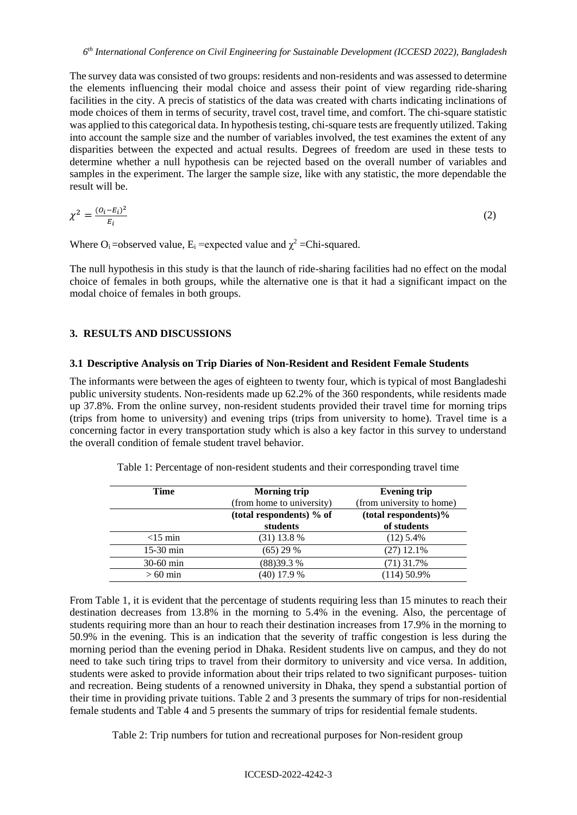The survey data was consisted of two groups: residents and non-residents and was assessed to determine the elements influencing their modal choice and assess their point of view regarding ride-sharing facilities in the city. A precis of statistics of the data was created with charts indicating inclinations of mode choices of them in terms of security, travel cost, travel time, and comfort. The chi-square statistic was applied to this categorical data. In hypothesis testing, chi-square tests are frequently utilized. Taking into account the sample size and the number of variables involved, the test examines the extent of any disparities between the expected and actual results. Degrees of freedom are used in these tests to determine whether a null hypothesis can be rejected based on the overall number of variables and samples in the experiment. The larger the sample size, like with any statistic, the more dependable the result will be.

$$
\chi^2 = \frac{(o_i - \varepsilon_i)^2}{\varepsilon_i} \tag{2}
$$

Where  $O_i$  =observed value,  $E_i$  =expected value and  $\chi^2$  =Chi-squared.

The null hypothesis in this study is that the launch of ride-sharing facilities had no effect on the modal choice of females in both groups, while the alternative one is that it had a significant impact on the modal choice of females in both groups.

# **3. RESULTS AND DISCUSSIONS**

#### **3.1 Descriptive Analysis on Trip Diaries of Non-Resident and Resident Female Students**

The informants were between the ages of eighteen to twenty four, which is typical of most Bangladeshi public university students. Non-residents made up 62.2% of the 360 respondents, while residents made up 37.8%. From the online survey, non-resident students provided their travel time for morning trips (trips from home to university) and evening trips (trips from university to home). Travel time is a concerning factor in every transportation study which is also a key factor in this survey to understand the overall condition of female student travel behavior.

| <b>Time</b> | Morning trip              | <b>Evening trip</b>       |  |  |
|-------------|---------------------------|---------------------------|--|--|
|             | (from home to university) | (from university to home) |  |  |
|             | (total respondents) % of  | (total respondents)%      |  |  |
|             | students                  | of students               |  |  |
| $<$ 15 min  | $(31)$ 13.8 %             | $(12)$ 5.4%               |  |  |
| $15-30$ min | $(65)$ 29 %               | $(27)$ 12.1%              |  |  |
| 30-60 min   | (88) 39.3 %               | (71) 31.7%                |  |  |
| $>60$ min   | $(40)$ 17.9 %             | $(114)$ 50.9%             |  |  |

Table 1: Percentage of non-resident students and their corresponding travel time

From Table 1, it is evident that the percentage of students requiring less than 15 minutes to reach their destination decreases from 13.8% in the morning to 5.4% in the evening. Also, the percentage of students requiring more than an hour to reach their destination increases from 17.9% in the morning to 50.9% in the evening. This is an indication that the severity of traffic congestion is less during the morning period than the evening period in Dhaka. Resident students live on campus, and they do not need to take such tiring trips to travel from their dormitory to university and vice versa. In addition, students were asked to provide information about their trips related to two significant purposes- tuition and recreation. Being students of a renowned university in Dhaka, they spend a substantial portion of their time in providing private tuitions. Table 2 and 3 presents the summary of trips for non-residential female students and Table 4 and 5 presents the summary of trips for residential female students.

Table 2: Trip numbers for tution and recreational purposes for Non-resident group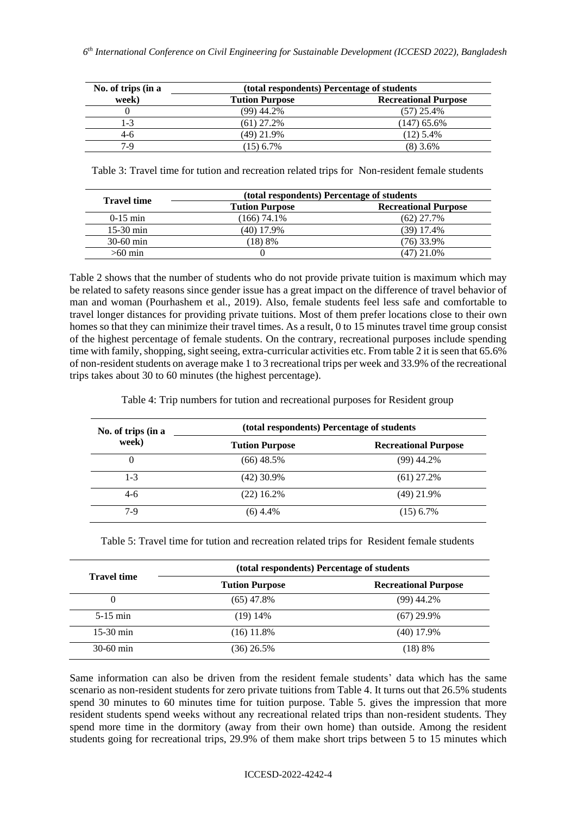| No. of trips (in a | (total respondents) Percentage of students |                             |  |  |
|--------------------|--------------------------------------------|-----------------------------|--|--|
| week)              | <b>Tution Purpose</b>                      | <b>Recreational Purpose</b> |  |  |
|                    | $(99)$ 44.2%                               | $(57)$ 25.4%                |  |  |
| 1-3                | $(61)$ 27.2%                               | (147) 65.6%                 |  |  |
| $4-6$              | (49) 21.9%                                 | $(12)$ 5.4%                 |  |  |
| $7-9$              | $(15)$ 6.7%                                | $(8)$ 3.6%                  |  |  |

Table 3: Travel time for tution and recreation related trips for Non-resident female students

| <b>Travel time</b> | (total respondents) Percentage of students |                             |  |  |
|--------------------|--------------------------------------------|-----------------------------|--|--|
|                    | <b>Tution Purpose</b>                      | <b>Recreational Purpose</b> |  |  |
| $0-15$ min         | (166) 74.1%                                | (62) 27.7%                  |  |  |
| $15-30$ min        | (40) 17.9%                                 | $(39)$ 17.4%                |  |  |
| $30-60$ min        | (18)8%                                     | $(76)$ 33.9%                |  |  |
| $>60$ min          |                                            | (47) 21.0%                  |  |  |

Table 2 shows that the number of students who do not provide private tuition is maximum which may be related to safety reasons since gender issue has a great impact on the difference of travel behavior of man and woman (Pourhashem et al., 2019). Also, female students feel less safe and comfortable to travel longer distances for providing private tuitions. Most of them prefer locations close to their own homes so that they can minimize their travel times. As a result, 0 to 15 minutes travel time group consist of the highest percentage of female students. On the contrary, recreational purposes include spending time with family, shopping, sight seeing, extra-curricular activities etc. From table 2 it is seen that 65.6% of non-resident students on average make 1 to 3 recreational trips per week and 33.9% of the recreational trips takes about 30 to 60 minutes (the highest percentage).

Table 4: Trip numbers for tution and recreational purposes for Resident group

| No. of trips (in a<br>week) | (total respondents) Percentage of students |                             |  |  |  |
|-----------------------------|--------------------------------------------|-----------------------------|--|--|--|
|                             | <b>Tution Purpose</b>                      | <b>Recreational Purpose</b> |  |  |  |
| 0                           | (66) 48.5%                                 | $(99)$ 44.2%                |  |  |  |
| $1-3$                       | $(42)$ 30.9%                               | $(61)$ 27.2%                |  |  |  |
| $4-6$                       | $(22)$ 16.2%                               | $(49)$ 21.9%                |  |  |  |
| $7-9$                       | $(6)$ 4.4%                                 | $(15)$ 6.7%                 |  |  |  |

Table 5: Travel time for tution and recreation related trips for Resident female students

| <b>Travel time</b> | (total respondents) Percentage of students |                             |  |  |  |
|--------------------|--------------------------------------------|-----------------------------|--|--|--|
|                    | <b>Tution Purpose</b>                      | <b>Recreational Purpose</b> |  |  |  |
| $\theta$           | $(65)$ 47.8%                               | $(99)$ 44.2%                |  |  |  |
| $5-15$ min         | $(19)$ 14\%                                | $(67)$ 29.9%                |  |  |  |
| $15-30$ min        | $(16)$ 11.8%                               | $(40)$ 17.9%                |  |  |  |
| $30-60$ min        | (36) 26.5%                                 | (18) 8%                     |  |  |  |

Same information can also be driven from the resident female students' data which has the same scenario as non-resident students for zero private tuitions from Table 4. It turns out that 26.5% students spend 30 minutes to 60 minutes time for tuition purpose. Table 5. gives the impression that more resident students spend weeks without any recreational related trips than non-resident students. They spend more time in the dormitory (away from their own home) than outside. Among the resident students going for recreational trips, 29.9% of them make short trips between 5 to 15 minutes which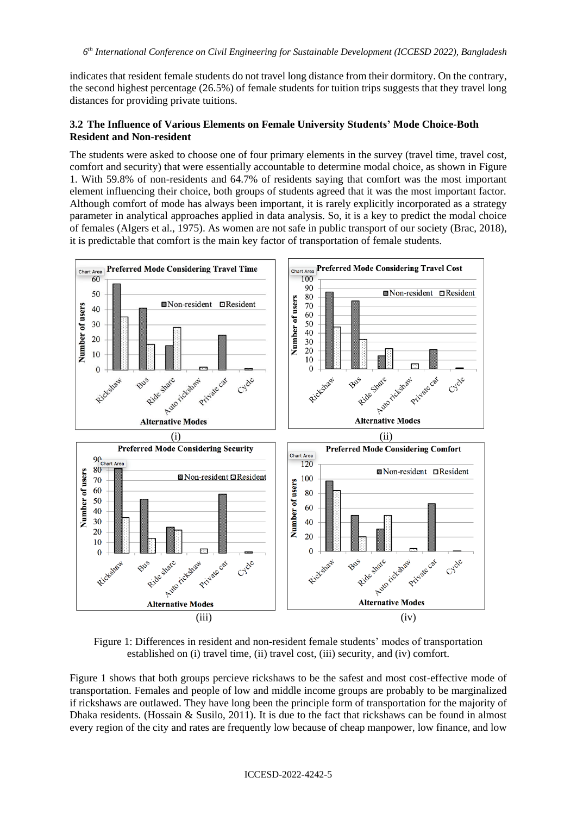indicates that resident female students do not travel long distance from their dormitory. On the contrary, the second highest percentage (26.5%) of female students for tuition trips suggests that they travel long distances for providing private tuitions.

# **3.2 The Influence of Various Elements on Female University Students' Mode Choice-Both Resident and Non-resident**

The students were asked to choose one of four primary elements in the survey (travel time, travel cost, comfort and security) that were essentially accountable to determine modal choice, as shown in Figure 1. With 59.8% of non-residents and 64.7% of residents saying that comfort was the most important element influencing their choice, both groups of students agreed that it was the most important factor. Although comfort of mode has always been important, it is rarely explicitly incorporated as a strategy parameter in analytical approaches applied in data analysis. So, it is a key to predict the modal choice of females (Algers et al., 1975). As women are not safe in public transport of our society (Brac, 2018), it is predictable that comfort is the main key factor of transportation of female students.



Figure 1: Differences in resident and non-resident female students' modes of transportation established on (i) travel time, (ii) travel cost, (iii) security, and (iv) comfort.

Figure 1 shows that both groups percieve rickshaws to be the safest and most cost-effective mode of transportation. Females and people of low and middle income groups are probably to be marginalized if rickshaws are outlawed. They have long been the principle form of transportation for the majority of Dhaka residents. (Hossain & Susilo, 2011). It is due to the fact that rickshaws can be found in almost every region of the city and rates are frequently low because of cheap manpower, low finance, and low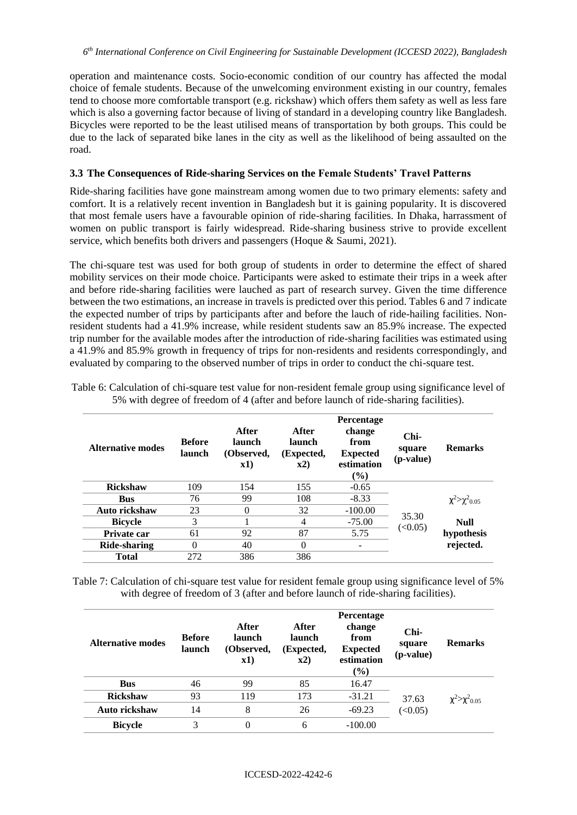operation and maintenance costs. Socio-economic condition of our country has affected the modal choice of female students. Because of the unwelcoming environment existing in our country, females tend to choose more comfortable transport (e.g. rickshaw) which offers them safety as well as less fare which is also a governing factor because of living of standard in a developing country like Bangladesh. Bicycles were reported to be the least utilised means of transportation by both groups. This could be due to the lack of separated bike lanes in the city as well as the likelihood of being assaulted on the road.

### **3.3 The Consequences of Ride-sharing Services on the Female Students' Travel Patterns**

Ride-sharing facilities have gone mainstream among women due to two primary elements: safety and comfort. It is a relatively recent invention in Bangladesh but it is gaining popularity. It is discovered that most female users have a favourable opinion of ride-sharing facilities. In Dhaka, harrassment of women on public transport is fairly widespread. Ride-sharing business strive to provide excellent service, which benefits both drivers and passengers (Hoque & Saumi, 2021).

The chi-square test was used for both group of students in order to determine the effect of shared mobility services on their mode choice. Participants were asked to estimate their trips in a week after and before ride-sharing facilities were lauched as part of research survey. Given the time difference between the two estimations, an increase in travels is predicted over this period. Tables 6 and 7 indicate the expected number of trips by participants after and before the lauch of ride-hailing facilities. Nonresident students had a 41.9% increase, while resident students saw an 85.9% increase. The expected trip number for the available modes after the introduction of ride-sharing facilities was estimated using a 41.9% and 85.9% growth in frequency of trips for non-residents and residents correspondingly, and evaluated by comparing to the observed number of trips in order to conduct the chi-square test.

| Alternative modes | <b>Before</b><br>launch | After<br>launch<br>(Observed,<br>x1) | After<br>launch<br>(Expected,<br>$\mathbf{x}2)$ | <b>Percentage</b><br>change<br>from<br><b>Expected</b><br>estimation<br>(%) | $Chi-$<br>square<br>(p-value) | <b>Remarks</b>                    |
|-------------------|-------------------------|--------------------------------------|-------------------------------------------------|-----------------------------------------------------------------------------|-------------------------------|-----------------------------------|
| <b>Rickshaw</b>   | 109                     | 154                                  | 155                                             | $-0.65$                                                                     |                               |                                   |
| <b>Bus</b>        | 76                      | 99                                   | 108                                             | $-8.33$                                                                     | 35.30<br>(<0.05)              | $\chi^2 > \chi^2$ <sub>0.05</sub> |
| Auto rickshaw     | 23                      | $\Omega$                             | 32                                              | $-100.00$                                                                   |                               |                                   |
| <b>Bicycle</b>    | 3                       |                                      | 4                                               | $-75.00$                                                                    |                               | <b>Null</b>                       |
| Private car       | 61                      | 92                                   | 87                                              | 5.75                                                                        |                               | hypothesis                        |
| Ride-sharing      | $\Omega$                | 40                                   | $\theta$                                        | $\qquad \qquad \blacksquare$                                                |                               | rejected.                         |
| Total             | 272                     | 386                                  | 386                                             |                                                                             |                               |                                   |

Table 6: Calculation of chi-square test value for non-resident female group using significance level of 5% with degree of freedom of 4 (after and before launch of ride-sharing facilities).

Table 7: Calculation of chi-square test value for resident female group using significance level of 5% with degree of freedom of 3 (after and before launch of ride-sharing facilities).

| <b>Alternative modes</b> | <b>Before</b><br>launch | After<br>launch<br>(Observed,<br>x1) | After<br>launch<br>(Expected,<br>x2) | <b>Percentage</b><br>change<br>from<br><b>Expected</b><br>estimation<br>$($ %) | Chi-<br>square<br>(p-value) | <b>Remarks</b>                    |
|--------------------------|-------------------------|--------------------------------------|--------------------------------------|--------------------------------------------------------------------------------|-----------------------------|-----------------------------------|
| <b>Bus</b>               | 46                      | 99                                   | 85                                   | 16.47                                                                          |                             |                                   |
| <b>Rickshaw</b>          | 93                      | 119                                  | 173                                  | $-31.21$                                                                       | 37.63<br>(<0.05)            | $\chi^2 > \chi^2$ <sub>0.05</sub> |
| Auto rickshaw            | 14                      | 8                                    | 26                                   | $-69.23$                                                                       |                             |                                   |
| <b>Bicycle</b>           | 3                       | $\Omega$                             | 6                                    | $-100.00$                                                                      |                             |                                   |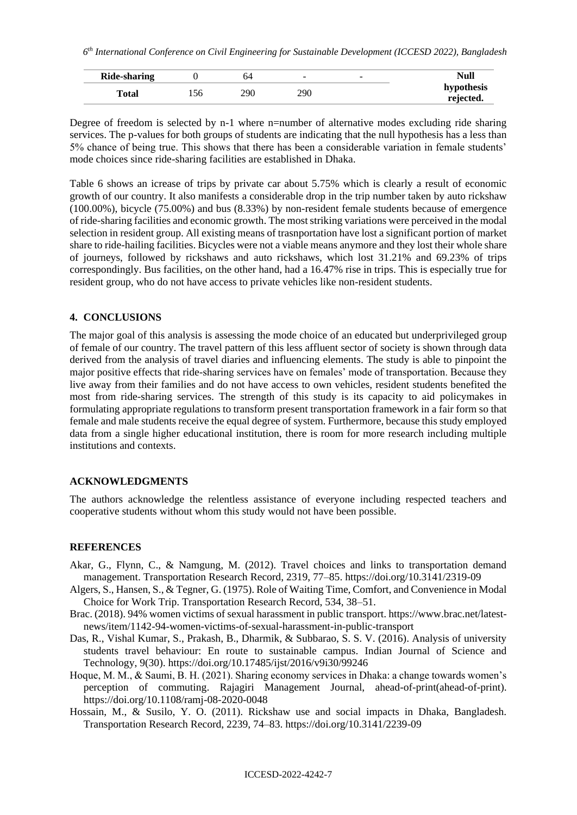| Ride-sharing |     | $\overline{\phantom{a}}$ | - | Null                    |
|--------------|-----|--------------------------|---|-------------------------|
| Total        | 290 | 290                      |   | hypothesis<br>rejected. |

Degree of freedom is selected by n-1 where n=number of alternative modes excluding ride sharing services. The p-values for both groups of students are indicating that the null hypothesis has a less than 5% chance of being true. This shows that there has been a considerable variation in female students' mode choices since ride-sharing facilities are established in Dhaka.

Table 6 shows an icrease of trips by private car about 5.75% which is clearly a result of economic growth of our country. It also manifests a considerable drop in the trip number taken by auto rickshaw (100.00%), bicycle (75.00%) and bus (8.33%) by non-resident female students because of emergence of ride-sharing facilities and economic growth. The most striking variations were perceived in the modal selection in resident group. All existing means of trasnportation have lost a significant portion of market share to ride-hailing facilities. Bicycles were not a viable means anymore and they lost their whole share of journeys, followed by rickshaws and auto rickshaws, which lost 31.21% and 69.23% of trips correspondingly. Bus facilities, on the other hand, had a 16.47% rise in trips. This is especially true for resident group, who do not have access to private vehicles like non-resident students.

#### **4. CONCLUSIONS**

The major goal of this analysis is assessing the mode choice of an educated but underprivileged group of female of our country. The travel pattern of this less affluent sector of society is shown through data derived from the analysis of travel diaries and influencing elements. The study is able to pinpoint the major positive effects that ride-sharing services have on females' mode of transportation. Because they live away from their families and do not have access to own vehicles, resident students benefited the most from ride-sharing services. The strength of this study is its capacity to aid policymakes in formulating appropriate regulations to transform present transportation framework in a fair form so that female and male students receive the equal degree of system. Furthermore, because this study employed data from a single higher educational institution, there is room for more research including multiple institutions and contexts.

### **ACKNOWLEDGMENTS**

The authors acknowledge the relentless assistance of everyone including respected teachers and cooperative students without whom this study would not have been possible.

#### **REFERENCES**

- Akar, G., Flynn, C., & Namgung, M. (2012). Travel choices and links to transportation demand management. Transportation Research Record, 2319, 77–85. https://doi.org/10.3141/2319-09
- Algers, S., Hansen, S., & Tegner, G. (1975). Role of Waiting Time, Comfort, and Convenience in Modal Choice for Work Trip. Transportation Research Record, 534, 38–51.
- Brac. (2018). 94% women victims of sexual harassment in public transport. https://www.brac.net/latestnews/item/1142-94-women-victims-of-sexual-harassment-in-public-transport
- Das, R., Vishal Kumar, S., Prakash, B., Dharmik, & Subbarao, S. S. V. (2016). Analysis of university students travel behaviour: En route to sustainable campus. Indian Journal of Science and Technology, 9(30). https://doi.org/10.17485/ijst/2016/v9i30/99246
- Hoque, M. M., & Saumi, B. H. (2021). Sharing economy services in Dhaka: a change towards women's perception of commuting. Rajagiri Management Journal, ahead-of-print(ahead-of-print). https://doi.org/10.1108/ramj-08-2020-0048
- Hossain, M., & Susilo, Y. O. (2011). Rickshaw use and social impacts in Dhaka, Bangladesh. Transportation Research Record, 2239, 74–83. https://doi.org/10.3141/2239-09